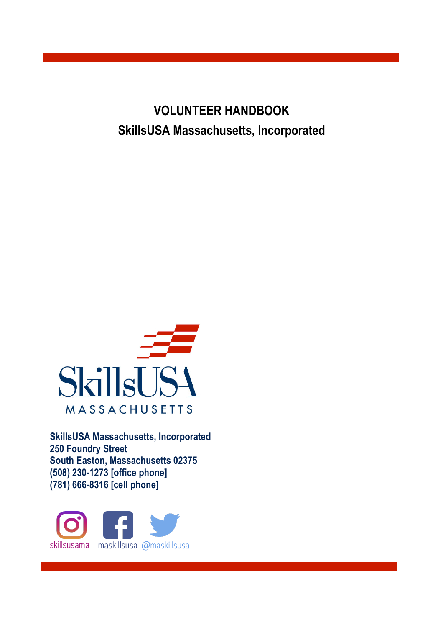**VOLUNTEER HANDBOOK SkillsUSA Massachusetts, Incorporated**



**SkillsUSA Massachusetts, Incorporated 250 Foundry Street South Easton, Massachusetts 02375 (508) 230-1273 [office phone] (781) 666-8316 [cell phone]**

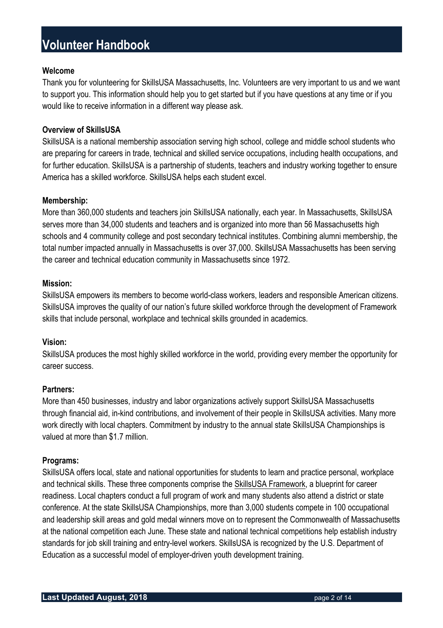#### **Welcome**

Thank you for volunteering for SkillsUSA Massachusetts, Inc. Volunteers are very important to us and we want to support you. This information should help you to get started but if you have questions at any time or if you would like to receive information in a different way please ask.

#### **Overview of SkillsUSA**

SkillsUSA is a national membership association serving high school, college and middle school students who are preparing for careers in trade, technical and skilled service occupations, including health occupations, and for further education. SkillsUSA is a partnership of students, teachers and industry working together to ensure America has a skilled workforce. SkillsUSA helps each student excel.

#### **Membership:**

More than 360,000 students and teachers join SkillsUSA nationally, each year. In Massachusetts, SkillsUSA serves more than 34,000 students and teachers and is organized into more than 56 Massachusetts high schools and 4 community college and post secondary technical institutes. Combining alumni membership, the total number impacted annually in Massachusetts is over 37,000. SkillsUSA Massachusetts has been serving the career and technical education community in Massachusetts since 1972.

#### **Mission:**

SkillsUSA empowers its members to become world-class workers, leaders and responsible American citizens. SkillsUSA improves the quality of our nation's future skilled workforce through the development of Framework skills that include personal, workplace and technical skills grounded in academics.

#### **Vision:**

SkillsUSA produces the most highly skilled workforce in the world, providing every member the opportunity for career success.

#### **Partners:**

More than 450 businesses, industry and labor organizations actively support SkillsUSA Massachusetts through financial aid, in-kind contributions, and involvement of their people in SkillsUSA activities. Many more work directly with local chapters. Commitment by industry to the annual state SkillsUSA Championships is valued at more than \$1.7 million.

#### **Programs:**

SkillsUSA offers local, state and national opportunities for students to learn and practice personal, workplace and technical skills. These three components comprise the SkillsUSA Framework, a blueprint for career readiness. Local chapters conduct a full program of work and many students also attend a district or state conference. At the state SkillsUSA Championships, more than 3,000 students compete in 100 occupational and leadership skill areas and gold medal winners move on to represent the Commonwealth of Massachusetts at the national competition each June. These state and national technical competitions help establish industry standards for job skill training and entry-level workers. SkillsUSA is recognized by the U.S. Department of Education as a successful model of employer-driven youth development training.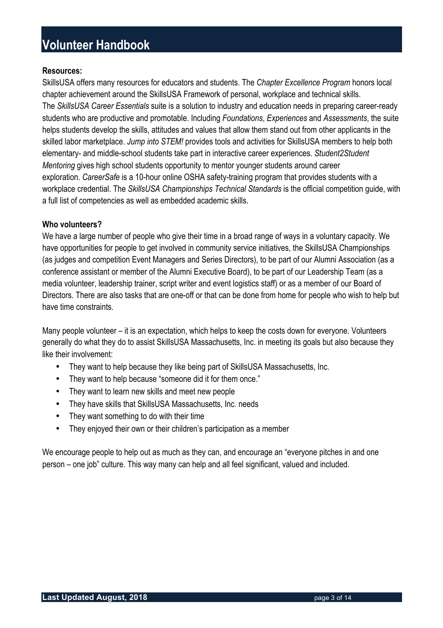#### **Resources:**

SkillsUSA offers many resources for educators and students. The *Chapter Excellence Program* honors local chapter achievement around the SkillsUSA Framework of personal, workplace and technical skills. The *SkillsUSA Career Essentials* suite is a solution to industry and education needs in preparing career-ready students who are productive and promotable. Including *Foundations*, *Experiences* and *Assessments*, the suite helps students develop the skills, attitudes and values that allow them stand out from other applicants in the skilled labor marketplace. *Jump into STEM!* provides tools and activities for SkillsUSA members to help both elementary- and middle-school students take part in interactive career experiences. *Student2Student Mentoring* gives high school students opportunity to mentor younger students around career exploration. *CareerSafe* is a 10-hour online OSHA safety-training program that provides students with a workplace credential. The *SkillsUSA Championships Technical Standards* is the official competition guide, with a full list of competencies as well as embedded academic skills.

#### **Who volunteers?**

We have a large number of people who give their time in a broad range of ways in a voluntary capacity. We have opportunities for people to get involved in community service initiatives, the SkillsUSA Championships (as judges and competition Event Managers and Series Directors), to be part of our Alumni Association (as a conference assistant or member of the Alumni Executive Board), to be part of our Leadership Team (as a media volunteer, leadership trainer, script writer and event logistics staff) or as a member of our Board of Directors. There are also tasks that are one-off or that can be done from home for people who wish to help but have time constraints.

Many people volunteer – it is an expectation, which helps to keep the costs down for everyone. Volunteers generally do what they do to assist SkillsUSA Massachusetts, Inc. in meeting its goals but also because they like their involvement:

- They want to help because they like being part of SkillsUSA Massachusetts, Inc.
- They want to help because "someone did it for them once."
- They want to learn new skills and meet new people
- They have skills that SkillsUSA Massachusetts, Inc. needs
- They want something to do with their time
- They enjoyed their own or their children's participation as a member

We encourage people to help out as much as they can, and encourage an "everyone pitches in and one person – one job" culture. This way many can help and all feel significant, valued and included.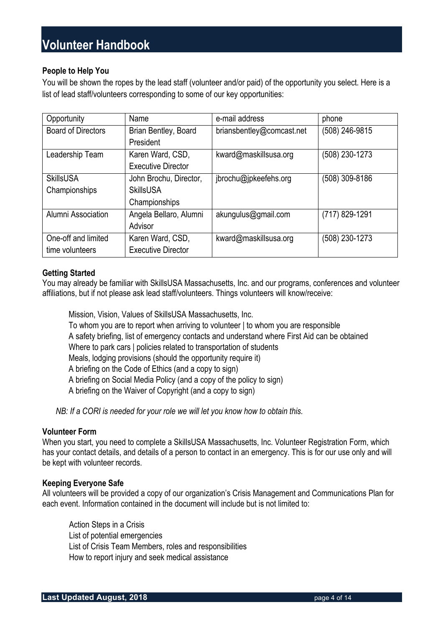#### **People to Help You**

You will be shown the ropes by the lead staff (volunteer and/or paid) of the opportunity you select. Here is a list of lead staff/volunteers corresponding to some of our key opportunities:

| Opportunity               | Name                      | e-mail address            | phone          |
|---------------------------|---------------------------|---------------------------|----------------|
| <b>Board of Directors</b> | Brian Bentley, Board      | briansbentley@comcast.net | (508) 246-9815 |
|                           | President                 |                           |                |
| Leadership Team           | Karen Ward, CSD,          | kward@maskillsusa.org     | (508) 230-1273 |
|                           | <b>Executive Director</b> |                           |                |
| <b>SkillsUSA</b>          | John Brochu, Director,    | jbrochu@jpkeefehs.org     | (508) 309-8186 |
| Championships             | <b>SkillsUSA</b>          |                           |                |
|                           | Championships             |                           |                |
| Alumni Association        | Angela Bellaro, Alumni    | akungulus@gmail.com       | (717) 829-1291 |
|                           | Advisor                   |                           |                |
| One-off and limited       | Karen Ward, CSD,          | kward@maskillsusa.org     | (508) 230-1273 |
| time volunteers           | <b>Executive Director</b> |                           |                |

#### **Getting Started**

You may already be familiar with SkillsUSA Massachusetts, Inc. and our programs, conferences and volunteer affiliations, but if not please ask lead staff/volunteers. Things volunteers will know/receive:

 Mission, Vision, Values of SkillsUSA Massachusetts, Inc. To whom you are to report when arriving to volunteer | to whom you are responsible A safety briefing, list of emergency contacts and understand where First Aid can be obtained Where to park cars | policies related to transportation of students Meals, lodging provisions (should the opportunity require it) A briefing on the Code of Ethics (and a copy to sign) A briefing on Social Media Policy (and a copy of the policy to sign) A briefing on the Waiver of Copyright (and a copy to sign)

*NB: If a CORI is needed for your role we will let you know how to obtain this.*

#### **Volunteer Form**

When you start, you need to complete a SkillsUSA Massachusetts, Inc. Volunteer Registration Form, which has your contact details, and details of a person to contact in an emergency. This is for our use only and will be kept with volunteer records.

#### **Keeping Everyone Safe**

All volunteers will be provided a copy of our organization's Crisis Management and Communications Plan for each event. Information contained in the document will include but is not limited to:

 Action Steps in a Crisis List of potential emergencies List of Crisis Team Members, roles and responsibilities How to report injury and seek medical assistance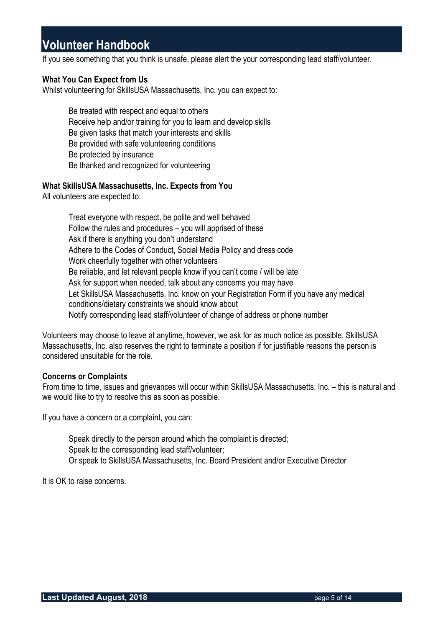If you see something that you think is unsafe, please alert the your corresponding lead staff/volunteer.

#### **What You Can Expect from Us**

Whilst volunteering for SkillsUSA Massachusetts, Inc. you can expect to:

 Be treated with respect and equal to others Receive help and/or training for you to learn and develop skills Be given tasks that match your interests and skills Be provided with safe volunteering conditions Be protected by insurance Be thanked and recognized for volunteering

#### **What SkillsUSA Massachusetts, Inc. Expects from You**

All volunteers are expected to:

 Treat everyone with respect, be polite and well behaved Follow the rules and procedures – you will apprised of these Ask if there is anything you don't understand Adhere to the Codes of Conduct, Social Media Policy and dress code Work cheerfully together with other volunteers Be reliable, and let relevant people know if you can't come / will be late Ask for support when needed, talk about any concerns you may have Let SkillsUSA Massachusetts, Inc. know on your Registration Form if you have any medical conditions/dietary constraints we should know about Notify corresponding lead staff/volunteer of change of address or phone number

Volunteers may choose to leave at anytime, however, we ask for as much notice as possible. SkillsUSA Massachusetts, Inc. also reserves the right to terminate a position if for justifiable reasons the person is considered unsuitable for the role.

#### **Concerns or Complaints**

From time to time, issues and grievances will occur within SkillsUSA Massachusetts, Inc. – this is natural and we would like to try to resolve this as soon as possible.

If you have a concern or a complaint, you can:

 Speak directly to the person around which the complaint is directed; Speak to the corresponding lead staff/volunteer; Or speak to SkillsUSA Massachusetts, Inc. Board President and/or Executive Director

It is OK to raise concerns.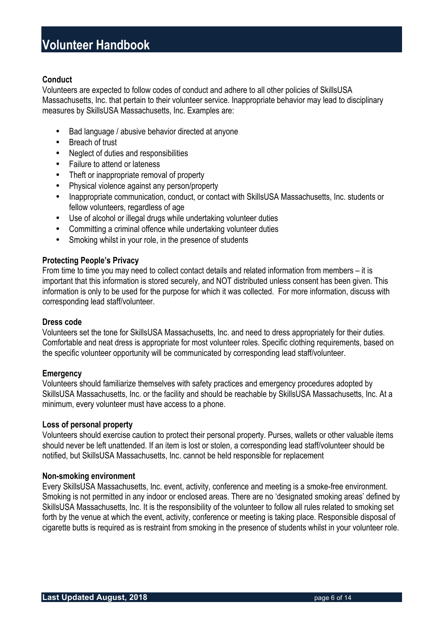#### **Conduct**

Volunteers are expected to follow codes of conduct and adhere to all other policies of SkillsUSA Massachusetts, Inc. that pertain to their volunteer service. Inappropriate behavior may lead to disciplinary measures by SkillsUSA Massachusetts, Inc. Examples are:

- Bad language / abusive behavior directed at anyone
- Breach of trust
- Neglect of duties and responsibilities
- Failure to attend or lateness
- Theft or inappropriate removal of property
- Physical violence against any person/property
- Inappropriate communication, conduct, or contact with SkillsUSA Massachusetts, Inc. students or fellow volunteers, regardless of age
- Use of alcohol or illegal drugs while undertaking volunteer duties
- Committing a criminal offence while undertaking volunteer duties
- Smoking whilst in your role, in the presence of students

#### **Protecting People's Privacy**

From time to time you may need to collect contact details and related information from members – it is important that this information is stored securely, and NOT distributed unless consent has been given. This information is only to be used for the purpose for which it was collected. For more information, discuss with corresponding lead staff/volunteer.

#### **Dress code**

Volunteers set the tone for SkillsUSA Massachusetts, Inc. and need to dress appropriately for their duties. Comfortable and neat dress is appropriate for most volunteer roles. Specific clothing requirements, based on the specific volunteer opportunity will be communicated by corresponding lead staff/volunteer.

#### **Emergency**

Volunteers should familiarize themselves with safety practices and emergency procedures adopted by SkillsUSA Massachusetts, Inc. or the facility and should be reachable by SkillsUSA Massachusetts, Inc. At a minimum, every volunteer must have access to a phone.

#### **Loss of personal property**

Volunteers should exercise caution to protect their personal property. Purses, wallets or other valuable items should never be left unattended. If an item is lost or stolen, a corresponding lead staff/volunteer should be notified, but SkillsUSA Massachusetts, Inc. cannot be held responsible for replacement

#### **Non-smoking environment**

Every SkillsUSA Massachusetts, Inc. event, activity, conference and meeting is a smoke-free environment. Smoking is not permitted in any indoor or enclosed areas. There are no 'designated smoking areas' defined by SkillsUSA Massachusetts, Inc. It is the responsibility of the volunteer to follow all rules related to smoking set forth by the venue at which the event, activity, conference or meeting is taking place. Responsible disposal of cigarette butts is required as is restraint from smoking in the presence of students whilst in your volunteer role.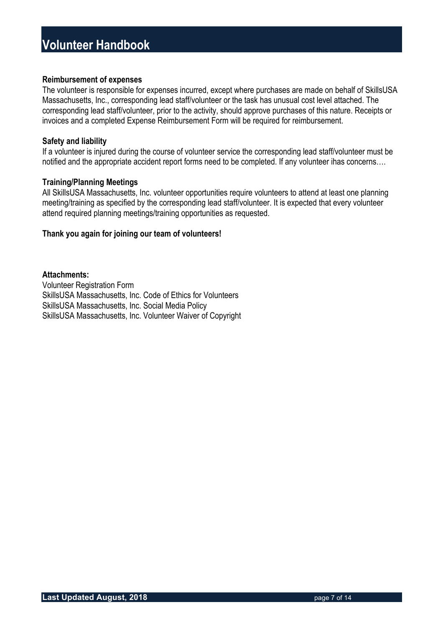#### **Reimbursement of expenses**

The volunteer is responsible for expenses incurred, except where purchases are made on behalf of SkillsUSA Massachusetts, Inc., corresponding lead staff/volunteer or the task has unusual cost level attached. The corresponding lead staff/volunteer, prior to the activity, should approve purchases of this nature. Receipts or invoices and a completed Expense Reimbursement Form will be required for reimbursement.

#### **Safety and liability**

If a volunteer is injured during the course of volunteer service the corresponding lead staff/volunteer must be notified and the appropriate accident report forms need to be completed. If any volunteer ihas concerns….

#### **Training/Planning Meetings**

All SkillsUSA Massachusetts, Inc. volunteer opportunities require volunteers to attend at least one planning meeting/training as specified by the corresponding lead staff/volunteer. It is expected that every volunteer attend required planning meetings/training opportunities as requested.

#### **Thank you again for joining our team of volunteers!**

#### **Attachments:**

Volunteer Registration Form SkillsUSA Massachusetts, Inc. Code of Ethics for Volunteers SkillsUSA Massachusetts, Inc. Social Media Policy SkillsUSA Massachusetts, Inc. Volunteer Waiver of Copyright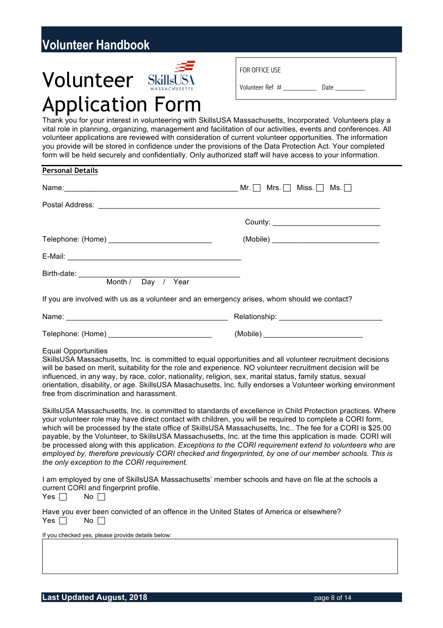# Volunteer SkillsUS4 Application Form

| FOR OFFICE USE  |      |
|-----------------|------|
| Volunteer Ref # | Date |

Thank you for your interest in volunteering with SkillsUSA Massachusetts, Incorporated. Volunteers play a vital role in planning, organizing, management and facilitation of our activities, events and conferences. All volunteer applications are reviewed with consideration of current volunteer opportunities. The information you provide will be stored in confidence under the provisions of the Data Protection Act. Your completed form will be held securely and confidentially. Only authorized staff will have access to your information.

| <b>Personal Details</b>                                                                                                                                                                                                                                                                                                                                                                                                                                                                                                                                                                                                                                                                                                                                                                                                                                                                                                                                                                                                                                                                                                                                                                                                                                                                                                                                                                                                                                                                                                                                                                                       |  |
|---------------------------------------------------------------------------------------------------------------------------------------------------------------------------------------------------------------------------------------------------------------------------------------------------------------------------------------------------------------------------------------------------------------------------------------------------------------------------------------------------------------------------------------------------------------------------------------------------------------------------------------------------------------------------------------------------------------------------------------------------------------------------------------------------------------------------------------------------------------------------------------------------------------------------------------------------------------------------------------------------------------------------------------------------------------------------------------------------------------------------------------------------------------------------------------------------------------------------------------------------------------------------------------------------------------------------------------------------------------------------------------------------------------------------------------------------------------------------------------------------------------------------------------------------------------------------------------------------------------|--|
| Name: $Mr. \Box$ Miss. $\Box$ Ms. $\Box$ Ms.                                                                                                                                                                                                                                                                                                                                                                                                                                                                                                                                                                                                                                                                                                                                                                                                                                                                                                                                                                                                                                                                                                                                                                                                                                                                                                                                                                                                                                                                                                                                                                  |  |
|                                                                                                                                                                                                                                                                                                                                                                                                                                                                                                                                                                                                                                                                                                                                                                                                                                                                                                                                                                                                                                                                                                                                                                                                                                                                                                                                                                                                                                                                                                                                                                                                               |  |
|                                                                                                                                                                                                                                                                                                                                                                                                                                                                                                                                                                                                                                                                                                                                                                                                                                                                                                                                                                                                                                                                                                                                                                                                                                                                                                                                                                                                                                                                                                                                                                                                               |  |
|                                                                                                                                                                                                                                                                                                                                                                                                                                                                                                                                                                                                                                                                                                                                                                                                                                                                                                                                                                                                                                                                                                                                                                                                                                                                                                                                                                                                                                                                                                                                                                                                               |  |
|                                                                                                                                                                                                                                                                                                                                                                                                                                                                                                                                                                                                                                                                                                                                                                                                                                                                                                                                                                                                                                                                                                                                                                                                                                                                                                                                                                                                                                                                                                                                                                                                               |  |
| Birth-date: Month / Day / Year                                                                                                                                                                                                                                                                                                                                                                                                                                                                                                                                                                                                                                                                                                                                                                                                                                                                                                                                                                                                                                                                                                                                                                                                                                                                                                                                                                                                                                                                                                                                                                                |  |
| If you are involved with us as a volunteer and an emergency arises, whom should we contact?                                                                                                                                                                                                                                                                                                                                                                                                                                                                                                                                                                                                                                                                                                                                                                                                                                                                                                                                                                                                                                                                                                                                                                                                                                                                                                                                                                                                                                                                                                                   |  |
|                                                                                                                                                                                                                                                                                                                                                                                                                                                                                                                                                                                                                                                                                                                                                                                                                                                                                                                                                                                                                                                                                                                                                                                                                                                                                                                                                                                                                                                                                                                                                                                                               |  |
|                                                                                                                                                                                                                                                                                                                                                                                                                                                                                                                                                                                                                                                                                                                                                                                                                                                                                                                                                                                                                                                                                                                                                                                                                                                                                                                                                                                                                                                                                                                                                                                                               |  |
| <b>Equal Opportunities</b><br>SkillsUSA Massachusetts, Inc. is committed to equal opportunities and all volunteer recruitment decisions<br>will be based on merit, suitability for the role and experience. NO volunteer recruitment decision will be<br>influenced, in any way, by race, color, nationality, religion, sex, marital status, family status, sexual<br>orientation, disability, or age. SkillsUSA Masachusetts, Inc. fully endorses a Volunteer working environment<br>free from discrimination and harassment.<br>SkillsUSA Massachusetts, Inc. is committed to standards of excellence in Child Protection practices. Where<br>your volunteer role may have direct contact with children, you will be required to complete a CORI form,<br>which will be processed by the state office of SkillsUSA Massachusetts, Inc The fee for a CORI is \$25.00<br>payable, by the Volunteer, to SkillsUSA Massachusetts, Inc. at the time this application is made. CORI will<br>be processed along with this application. Exceptions to the CORI requirement extend to volunteers who are<br>employed by, therefore previously CORI checked and fingerprinted, by one of our member schools. This is<br>the only exception to the CORI requirement.<br>I am employed by one of SkillsUSA Massachusetts' member schools and have on file at the schools a<br>current CORI and fingerprint profile.<br>Yes $\Box$<br>$No$ $\Box$<br>Have you ever been convicted of an offence in the United States of America or elsewhere?<br>Yes<br>$No \ \Box$<br>If you checked yes, please provide details below: |  |
|                                                                                                                                                                                                                                                                                                                                                                                                                                                                                                                                                                                                                                                                                                                                                                                                                                                                                                                                                                                                                                                                                                                                                                                                                                                                                                                                                                                                                                                                                                                                                                                                               |  |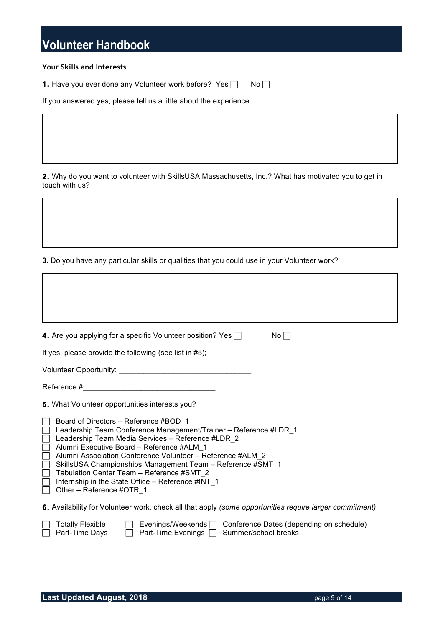#### **Your Skills and Interests**

**1.** Have you ever done any Volunteer work before? Yes  $\Box$  No  $\Box$ 

If you answered yes, please tell us a little about the experience.

**2.** Why do you want to volunteer with SkillsUSA Massachusetts, Inc.? What has motivated you to get in touch with us?

**3.** Do you have any particular skills or qualities that you could use in your Volunteer work?

| <b>4.</b> Are you applying for a specific Volunteer position? Yes $\Box$<br>$No \Box$                                                                                                                                                                                                                                                                                                                                                                                                                                                                     |
|-----------------------------------------------------------------------------------------------------------------------------------------------------------------------------------------------------------------------------------------------------------------------------------------------------------------------------------------------------------------------------------------------------------------------------------------------------------------------------------------------------------------------------------------------------------|
| If yes, please provide the following (see list in #5);                                                                                                                                                                                                                                                                                                                                                                                                                                                                                                    |
|                                                                                                                                                                                                                                                                                                                                                                                                                                                                                                                                                           |
|                                                                                                                                                                                                                                                                                                                                                                                                                                                                                                                                                           |
| 5. What Volunteer opportunities interests you?<br>Board of Directors - Reference #BOD 1<br>Leadership Team Conference Management/Trainer - Reference #LDR_1<br>Leadership Team Media Services - Reference #LDR 2<br><u>H</u><br>Alumni Executive Board - Reference #ALM 1<br>Alumni Association Conference Volunteer - Reference #ALM 2<br>□ SkillsUSA Championships Management Team - Reference #SMT_1<br>$\Box$<br>Tabulation Center Team - Reference #SMT 2<br>$\Box$<br>Internship in the State Office - Reference #INT 1<br>Other - Reference #OTR 1 |
| <b>6.</b> Availability for Volunteer work, check all that apply (some opportunities require larger commitment)<br><b>Totally Flexible</b><br>Evenings/Weekends $\Box$ Conference Dates (depending on schedule)<br>Part-Time Evenings $\Box$<br>Part-Time Days<br>Summer/school breaks                                                                                                                                                                                                                                                                     |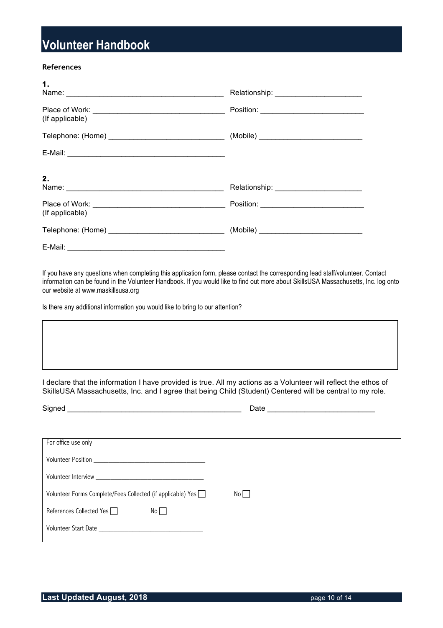#### **References**

E-Mail: \_\_\_\_\_\_\_\_\_\_\_\_\_\_\_\_\_\_\_\_\_\_\_\_\_\_\_\_\_\_\_\_\_\_\_\_\_\_

| 1.              |  |
|-----------------|--|
| (If applicable) |  |
|                 |  |
|                 |  |
| 2.              |  |
| (If applicable) |  |
|                 |  |

If you have any questions when completing this application form, please contact the corresponding lead staff/volunteer. Contact information can be found in the Volunteer Handbook. If you would like to find out more about SkillsUSA Massachusetts, Inc. log onto our website at www.maskillsusa.org

Is there any additional information you would like to bring to our attention?

I declare that the information I have provided is true. All my actions as a Volunteer will reflect the ethos of SkillsUSA Massachusetts, Inc. and I agree that being Child (Student) Centered will be central to my role.

| Date |
|------|
|      |
|      |
|      |
|      |
|      |
|      |
|      |
|      |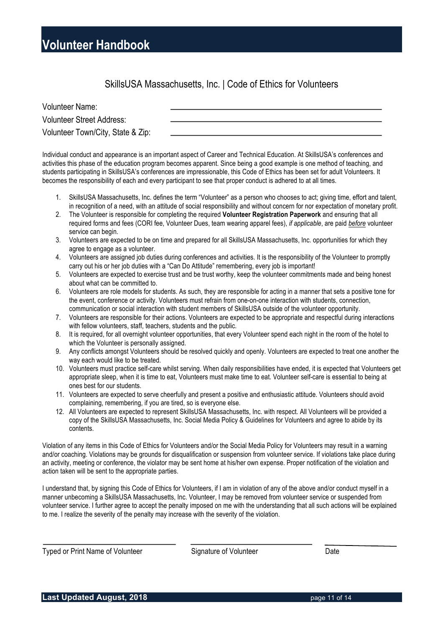SkillsUSA Massachusetts, Inc. | Code of Ethics for Volunteers

| <b>Volunteer Name:</b>            |  |
|-----------------------------------|--|
| <b>Volunteer Street Address:</b>  |  |
| Volunteer Town/City, State & Zip: |  |

Individual conduct and appearance is an important aspect of Career and Technical Education. At SkillsUSA's conferences and activities this phase of the education program becomes apparent. Since being a good example is one method of teaching, and students participating in SkillsUSA's conferences are impressionable, this Code of Ethics has been set for adult Volunteers. It becomes the responsibility of each and every participant to see that proper conduct is adhered to at all times.

- 1. SkillsUSA Massachusetts, Inc. defines the term "Volunteer" as a person who chooses to act; giving time, effort and talent, in recognition of a need, with an attitude of social responsibility and without concern for nor expectation of monetary profit.
- 2. The Volunteer is responsible for completing the required **Volunteer Registration Paperwork** and ensuring that all required forms and fees (CORI fee, Volunteer Dues, team wearing apparel fees), *if applicable*, are paid *before* volunteer service can begin.
- 3. Volunteers are expected to be on time and prepared for all SkillsUSA Massachusetts, Inc. opportunities for which they agree to engage as a volunteer.
- 4. Volunteers are assigned job duties during conferences and activities. It is the responsibility of the Volunteer to promptly carry out his or her job duties with a "Can Do Attitude" remembering, every job is important!
- 5. Volunteers are expected to exercise trust and be trust worthy, keep the volunteer commitments made and being honest about what can be committed to.
- 6. Volunteers are role models for students. As such, they are responsible for acting in a manner that sets a positive tone for the event, conference or activity. Volunteers must refrain from one-on-one interaction with students, connection, communication or social interaction with student members of SkillsUSA outside of the volunteer opportunity.
- 7. Volunteers are responsible for their actions. Volunteers are expected to be appropriate and respectful during interactions with fellow volunteers, staff, teachers, students and the public.
- 8. It is required, for all overnight volunteer opportunities, that every Volunteer spend each night in the room of the hotel to which the Volunteer is personally assigned.
- 9. Any conflicts amongst Volunteers should be resolved quickly and openly. Volunteers are expected to treat one another the way each would like to be treated.
- 10. Volunteers must practice self-care whilst serving. When daily responsibilities have ended, it is expected that Volunteers get appropriate sleep, when it is time to eat, Volunteers must make time to eat. Volunteer self-care is essential to being at ones best for our students.
- 11. Volunteers are expected to serve cheerfully and present a positive and enthusiastic attitude. Volunteers should avoid complaining, remembering, if you are tired, so is everyone else.
- 12. All Volunteers are expected to represent SkillsUSA Massachusetts, Inc. with respect. All Volunteers will be provided a copy of the SkillsUSA Massachusetts, Inc. Social Media Policy & Guidelines for Volunteers and agree to abide by its contents.

Violation of any items in this Code of Ethics for Volunteers and/or the Social Media Policy for Volunteers may result in a warning and/or coaching. Violations may be grounds for disqualification or suspension from volunteer service. If violations take place during an activity, meeting or conference, the violator may be sent home at his/her own expense. Proper notification of the violation and action taken will be sent to the appropriate parties.

I understand that, by signing this Code of Ethics for Volunteers, if I am in violation of any of the above and/or conduct myself in a manner unbecoming a SkillsUSA Massachusetts, Inc. Volunteer, I may be removed from volunteer service or suspended from volunteer service. I further agree to accept the penalty imposed on me with the understanding that all such actions will be explained to me. I realize the severity of the penalty may increase with the severity of the violation.

Typed or Print Name of Volunteer Signature of Volunteer Date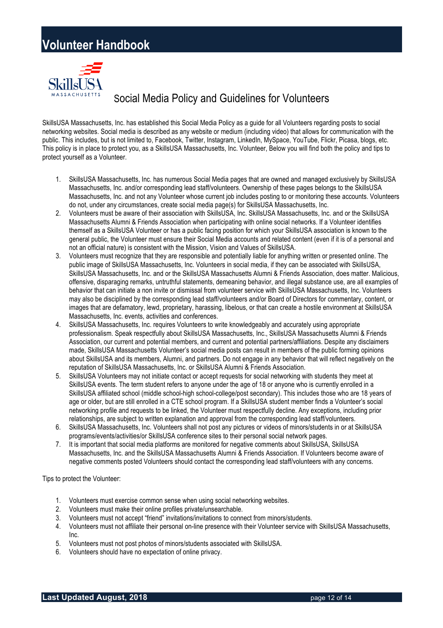

### Social Media Policy and Guidelines for Volunteers

SkillsUSA Massachusetts, Inc. has established this Social Media Policy as a guide for all Volunteers regarding posts to social networking websites. Social media is described as any website or medium (including video) that allows for communication with the public. This includes, but is not limited to, Facebook, Twitter, Instagram, LinkedIn, MySpace, YouTube, Flickr, Picasa, blogs, etc. This policy is in place to protect you, as a SkillsUSA Massachusetts, Inc. Volunteer, Below you will find both the policy and tips to protect yourself as a Volunteer.

- 1. SkillsUSA Massachusetts, Inc. has numerous Social Media pages that are owned and managed exclusively by SkillsUSA Massachusetts, Inc. and/or corresponding lead staff/volunteers. Ownership of these pages belongs to the SkillsUSA Massachusetts, Inc. and not any Volunteer whose current job includes posting to or monitoring these accounts. Volunteers do not, under any circumstances, create social media page(s) for SkillsUSA Massachusetts, Inc.
- 2. Volunteers must be aware of their association with SkillsUSA, Inc. SkillsUSA Massachusetts, Inc. and or the SkillsUSA Massachusetts Alumni & Friends Association when participating with online social networks. If a Volunteer identifies themself as a SkillsUSA Volunteer or has a public facing position for which your SkillsUSA association is known to the general public, the Volunteer must ensure their Social Media accounts and related content (even if it is of a personal and not an official nature) is consistent with the Mission, Vision and Values of SkillsUSA.
- 3. Volunteers must recognize that they are responsible and potentially liable for anything written or presented online. The public image of SkillsUSA Massachusetts, Inc. Volunteers in social media, if they can be associated with SkillsUSA, SkillsUSA Massachusetts, Inc. and or the SkillsUSA Massachusetts Alumni & Friends Association, does matter. Malicious, offensive, disparaging remarks, untruthful statements, demeaning behavior, and illegal substance use, are all examples of behavior that can initiate a non invite or dismissal from volunteer service with SkillsUSA Massachusetts, Inc. Volunteers may also be disciplined by the corresponding lead staff/volunteers and/or Board of Directors for commentary, content, or images that are defamatory, lewd, proprietary, harassing, libelous, or that can create a hostile environment at SkillsUSA Massachusetts, Inc. events, activities and conferences.
- 4. SkillsUSA Massachusetts, Inc. requires Volunteers to write knowledgeably and accurately using appropriate professionalism. Speak respectfully about SkillsUSA Massachusetts, Inc., SkillsUSA Massachusetts Alumni & Friends Association, our current and potential members, and current and potential partners/affiliations. Despite any disclaimers made, SkillsUSA Massachusetts Volunteer's social media posts can result in members of the public forming opinions about SkillsUSA and its members, Alumni, and partners. Do not engage in any behavior that will reflect negatively on the reputation of SkillsUSA Massachusetts, Inc. or SkillsUSA Alumni & Friends Association.
- 5. SkillsUSA Volunteers may not initiate contact or accept requests for social networking with students they meet at SkillsUSA events. The term student refers to anyone under the age of 18 or anyone who is currently enrolled in a SkillsUSA affiliated school (middle school-high school-college/post secondary). This includes those who are 18 years of age or older, but are still enrolled in a CTE school program. If a SkillsUSA student member finds a Volunteer's social networking profile and requests to be linked, the Volunteer must respectfully decline. Any exceptions, including prior relationships, are subject to written explanation and approval from the corresponding lead staff/volunteers.
- 6. SkillsUSA Massachusetts, Inc. Volunteers shall not post any pictures or videos of minors/students in or at SkillsUSA programs/events/activities/or SkillsUSA conference sites to their personal social network pages.
- 7. It is important that social media platforms are monitored for negative comments about SkillsUSA, SkillsUSA Massachusetts, Inc. and the SkillsUSA Massachusetts Alumni & Friends Association. If Volunteers become aware of negative comments posted Volunteers should contact the corresponding lead staff/volunteers with any concerns.

Tips to protect the Volunteer:

- 1. Volunteers must exercise common sense when using social networking websites.
- 2. Volunteers must make their online profiles private/unsearchable.
- 3. Volunteers must not accept "friend" invitations/invitations to connect from minors/students.
- 4. Volunteers must not affiliate their personal on-line presence with their Volunteer service with SkillsUSA Massachusetts, Inc.
- 5. Volunteers must not post photos of minors/students associated with SkillsUSA.
- 6. Volunteers should have no expectation of online privacy.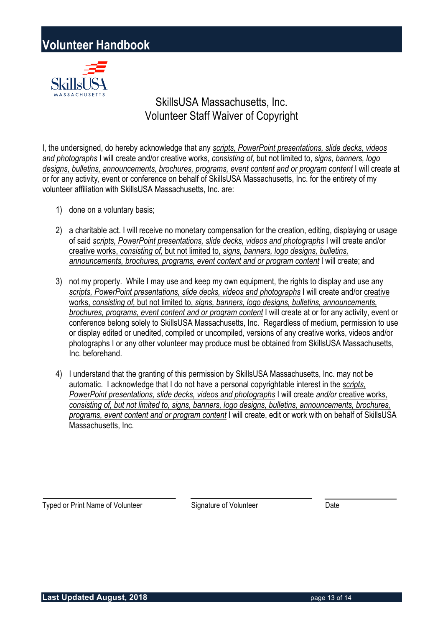

### SkillsUSA Massachusetts, Inc. Volunteer Staff Waiver of Copyright

I, the undersigned, do hereby acknowledge that any *scripts, PowerPoint presentations, slide decks, videos and photographs* I will create and/or creative works, *consisting of,* but not limited to, *signs, banners, logo designs, bulletins, announcements, brochures, programs, event content and or program content* I will create at or for any activity, event or conference on behalf of SkillsUSA Massachusetts, Inc. for the entirety of my volunteer affiliation with SkillsUSA Massachusetts, Inc. are:

- 1) done on a voluntary basis;
- 2) a charitable act. I will receive no monetary compensation for the creation, editing, displaying or usage of said *scripts, PowerPoint presentations, slide decks, videos and photographs* I will create and/or creative works, *consisting of,* but not limited to, *signs, banners, logo designs, bulletins, announcements, brochures, programs, event content and or program content* I will create; and
- 3) not my property. While I may use and keep my own equipment, the rights to display and use any *scripts, PowerPoint presentations, slide decks, videos and photographs* I will create and/or creative works, *consisting of,* but not limited to, *signs, banners, logo designs, bulletins, announcements, brochures, programs, event content and or program content* I will create at or for any activity, event or conference belong solely to SkillsUSA Massachusetts, Inc. Regardless of medium, permission to use or display edited or unedited, compiled or uncompiled, versions of any creative works, videos and/or photographs I or any other volunteer may produce must be obtained from SkillsUSA Massachusetts, Inc. beforehand.
- 4) I understand that the granting of this permission by SkillsUSA Massachusetts, Inc. may not be automatic. I acknowledge that I do not have a personal copyrightable interest in the *scripts, PowerPoint presentations, slide decks, videos and photographs* I will create *and/or* creative works*, consisting of, but not limited to, signs, banners, logo designs, bulletins, announcements, brochures, programs, event content and or program content* I will create, edit or work with on behalf of SkillsUSA Massachusetts, Inc.

Typed or Print Name of Volunteer Signature of Volunteer Date